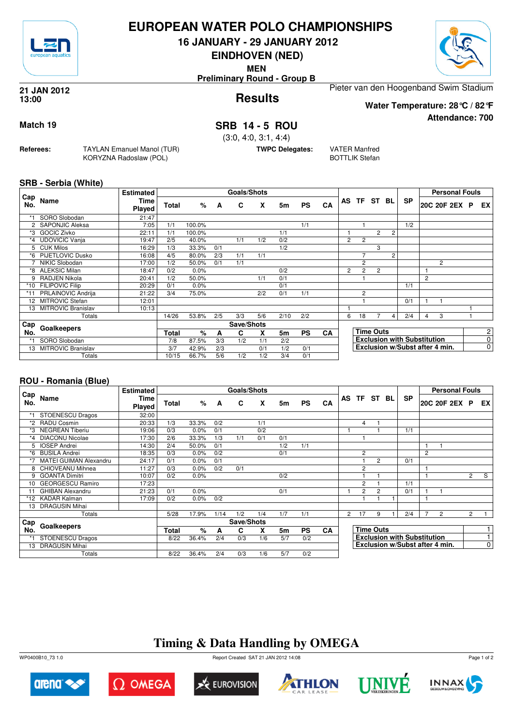

#### **EUROPEAN WATER POLO CHAMPIONSHIPS**

**16 JANUARY - 29 JANUARY 2012**

**EINDHOVEN (NED)**

**MEN**

**Preliminary Round - Group B**



**Attendance: 700**

**Results 21 JAN 2012 13:00**

Pieter van den Hoogenband Swim Stadium

**Water Temperature: 28°C / 82°F**

**Match 19 SRB 14 - 5 ROU**

(3:0, 4:0, 3:1, 4:4)

**TWPC Delegates:** VATER Manfred

BOTTLIK Stefan

**SRB - Serbia (White)**

**Referees:** TAYLAN Emanuel Manol (TUR)

KORYZNA Radoslaw (POL)

| Cap     |                           | <b>Estimated</b> |       |         |     | Goals/Shots |     |      |           |           |                                    |                  |                |                |           |                | <b>Personal Fouls</b>          |          |                |
|---------|---------------------------|------------------|-------|---------|-----|-------------|-----|------|-----------|-----------|------------------------------------|------------------|----------------|----------------|-----------|----------------|--------------------------------|----------|----------------|
| No.     | Name                      | Time<br>Played   | Total | %       | A   | C           | X   | 5m   | <b>PS</b> | CA        |                                    |                  | AS TF ST BL    |                | <b>SP</b> |                | 20C 20F 2EX                    | <b>P</b> | EX I           |
| *1      | SORO Slobodan             | 21:47            |       |         |     |             |     |      |           |           |                                    |                  |                |                |           |                |                                |          |                |
|         | 2 SAPONJIC Aleksa         | 7:05             | 1/1   | 100.0%  |     |             |     |      | 1/1       |           |                                    |                  |                |                | 1/2       |                |                                |          |                |
| *3      | <b>GOCIC Zivko</b>        | 22:11            | 1/1   | 100.0%  |     |             |     | 1/1  |           |           |                                    |                  | 2              | $\overline{c}$ |           |                |                                |          |                |
| $*_{4}$ | <b>UDOVICIC Vanja</b>     | 19:47            | 2/5   | 40.0%   |     | 1/1         | 1/2 | 0/2  |           |           | $\overline{2}$                     | $\overline{2}$   |                |                |           |                |                                |          |                |
|         | 5 CUK Milos               | 16:29            | 1/3   | 33.3%   | 0/1 |             |     | 1/2  |           |           |                                    |                  | 3              |                |           |                |                                |          |                |
| *6      | <b>PIJETLOVIC Dusko</b>   | 16:08            | 4/5   | 80.0%   | 2/3 | 1/1         | 1/1 |      |           |           |                                    | 7                |                | 2              |           |                |                                |          |                |
|         | NIKIC Slobodan            | 17:00            | 1/2   | 50.0%   | 0/1 | 1/1         |     |      |           |           |                                    | $\overline{2}$   |                |                |           |                | 2                              |          |                |
| *8      | <b>ALEKSIC Milan</b>      | 18:47            | 0/2   | $0.0\%$ |     |             |     | 0/2  |           |           | $\overline{2}$                     | $\overline{2}$   | $\overline{c}$ |                |           |                |                                |          |                |
|         | RADJEN Nikola             | 20:41            | 1/2   | 50.0%   |     |             | 1/1 | 0/1  |           |           |                                    |                  |                |                |           | $\overline{2}$ |                                |          |                |
| $*10$   | <b>FILIPOVIC Filip</b>    | 20:29            | 0/1   | 0.0%    |     |             |     | 0/1  |           |           |                                    |                  |                |                | 1/1       |                |                                |          |                |
| $*11$   | <b>PRLAINOVIC Andrija</b> | 21:22            | 3/4   | 75.0%   |     |             | 2/2 | 0/1  | 1/1       |           |                                    | 2                |                |                |           |                |                                |          |                |
| 12      | <b>MITROVIC Stefan</b>    | 12:01            |       |         |     |             |     |      |           |           |                                    |                  |                |                | 0/1       |                |                                |          |                |
| 13      | MITROVIC Branislav        | 10:13            |       |         |     |             |     |      |           |           |                                    |                  |                |                |           |                |                                |          |                |
|         | Totals                    |                  | 14/26 | 53.8%   | 2/5 | 3/3         | 5/6 | 2/10 | 2/2       |           | 6                                  | 18               |                | 4              | 2/4       | 4              | 3                              |          |                |
| Cap     | Goalkeepers               |                  |       |         |     | Save/Shots  |     |      |           |           |                                    |                  |                |                |           |                |                                |          |                |
| No.     |                           |                  | Total | %       | A   | C           | X   | 5m   | <b>PS</b> | <b>CA</b> |                                    | <b>Time Outs</b> |                |                |           |                |                                |          | $\overline{2}$ |
| *1      | SORO Slobodan             |                  | 7/8   | 87.5%   | 3/3 | 1/2         | 1/1 | 2/2  |           |           | <b>Exclusion with Substitution</b> |                  |                |                |           |                | $\overline{0}$                 |          |                |
| 13      | <b>MITROVIC Branislav</b> |                  | 3/7   | 42.9%   | 2/3 |             | 0/1 | 1/2  | 0/1       |           |                                    |                  |                |                |           |                | Exclusion w/Subst after 4 min. |          | $\overline{0}$ |
|         | Totals                    | 10/15            | 66.7% | 5/6     | 1/2 | 1/2         | 3/4 | 0/1  |           |           |                                    |                  |                |                |           |                |                                |          |                |

#### **ROU - Romania (Blue)**

|            |                               | <b>Estimated</b> |       |       |      | Goals/Shots |     |     |           |           |              |                |                                    |           |                | <b>Personal Fouls</b>          |                |                |
|------------|-------------------------------|------------------|-------|-------|------|-------------|-----|-----|-----------|-----------|--------------|----------------|------------------------------------|-----------|----------------|--------------------------------|----------------|----------------|
| Cap<br>No. | Name                          | Time<br>Played   | Total | $\%$  | A    | C           | X   | 5m  | <b>PS</b> | CA        |              | AS TF ST BL    |                                    | <b>SP</b> |                | 20C 20F 2EX P                  |                | EX I           |
|            | <b>STOENESCU Dragos</b>       | 32:00            |       |       |      |             |     |     |           |           |              |                |                                    |           |                |                                |                |                |
| *2         | <b>RADU Cosmin</b>            | 20:33            | 1/3   | 33.3% | 0/2  |             | 1/1 |     |           |           |              | 4              |                                    |           |                |                                |                |                |
| *3         | <b>NEGREAN Tiberiu</b>        | 19:06            | 0/3   | 0.0%  | 0/1  |             | 0/2 |     |           |           |              |                |                                    | 1/1       |                |                                |                |                |
| *4         | <b>DIACONU Nicolae</b>        | 17:30            | 2/6   | 33.3% | 1/3  | 1/1         | 0/1 | 0/1 |           |           |              |                |                                    |           |                |                                |                |                |
| 5          | <b>IOSEP Andrei</b>           | 14:30            | 2/4   | 50.0% | 0/1  |             |     | 1/2 | 1/1       |           |              |                |                                    |           |                |                                |                |                |
| *6         | <b>BUSILA Andrei</b>          | 18:35            | 0/3   | 0.0%  | 0/2  |             |     | 0/1 |           |           |              | $\overline{2}$ |                                    |           | $\overline{2}$ |                                |                |                |
|            | <b>MATEI GUIMAN Alexandru</b> | 24:17            | 0/1   | 0.0%  | 0/1  |             |     |     |           |           |              |                | $\overline{2}$                     | 0/1       |                |                                |                |                |
|            | CHIOVEANU Mihnea              | 11:27            | 0/3   | 0.0%  | 0/2  | 0/1         |     |     |           |           |              | $\overline{2}$ |                                    |           |                |                                |                |                |
| 9          | <b>GOANTA Dimitri</b>         | 10:07            | 0/2   | 0.0%  |      |             |     | 0/2 |           |           |              |                |                                    |           |                |                                | $\overline{2}$ | S              |
| 10         | <b>GEORGESCU Ramiro</b>       | 17:23            |       |       |      |             |     |     |           |           |              | $\overline{2}$ |                                    | 1/1       |                |                                |                |                |
|            | <b>GHIBAN Alexandru</b>       | 21:23            | 0/1   | 0.0%  |      |             |     | 0/1 |           |           |              | 2              | $\overline{2}$                     | 0/1       |                |                                |                |                |
|            | *12 KADAR Kalman              | 17:09            | 0/2   | 0.0%  | 0/2  |             |     |     |           |           |              |                |                                    |           |                |                                |                |                |
| 13         | <b>DRAGUSIN Mihai</b>         |                  |       |       |      |             |     |     |           |           |              |                |                                    |           |                |                                |                |                |
|            | Totals                        |                  | 5/28  | 17.9% | 1/14 | 1/2         | 1/4 | 1/7 | 1/1       |           | $\mathbf{2}$ | 17             | 9                                  | 2/4       | 7              | 2                              | $\overline{2}$ |                |
| Cap        |                               |                  |       |       |      | Save/Shots  |     |     |           |           |              |                |                                    |           |                |                                |                |                |
| No.        | Goalkeepers                   |                  |       | %     | A    | C           | X   | 5m  | <b>PS</b> | <b>CA</b> |              |                | <b>Time Outs</b>                   |           |                |                                |                |                |
|            | <b>STOENESCU Dragos</b>       | 8/22             | 36.4% | 2/4   | 0/3  | 1/6         | 5/7 | 0/2 |           |           |              |                | <b>Exclusion with Substitution</b> |           |                |                                |                |                |
|            | <b>DRAGUSIN Mihai</b><br>13   |                  |       |       |      |             |     |     |           |           |              |                |                                    |           |                | Exclusion w/Subst after 4 min. |                | $\overline{0}$ |
|            | Totals                        | 8/22             | 36.4% | 2/4   | 0/3  | 1/6         | 5/7 | 0/2 |           |           |              |                |                                    |           |                |                                |                |                |

# **Timing & Data Handling by OMEGA**



 $\Omega$  Omega











Page 1 of 2